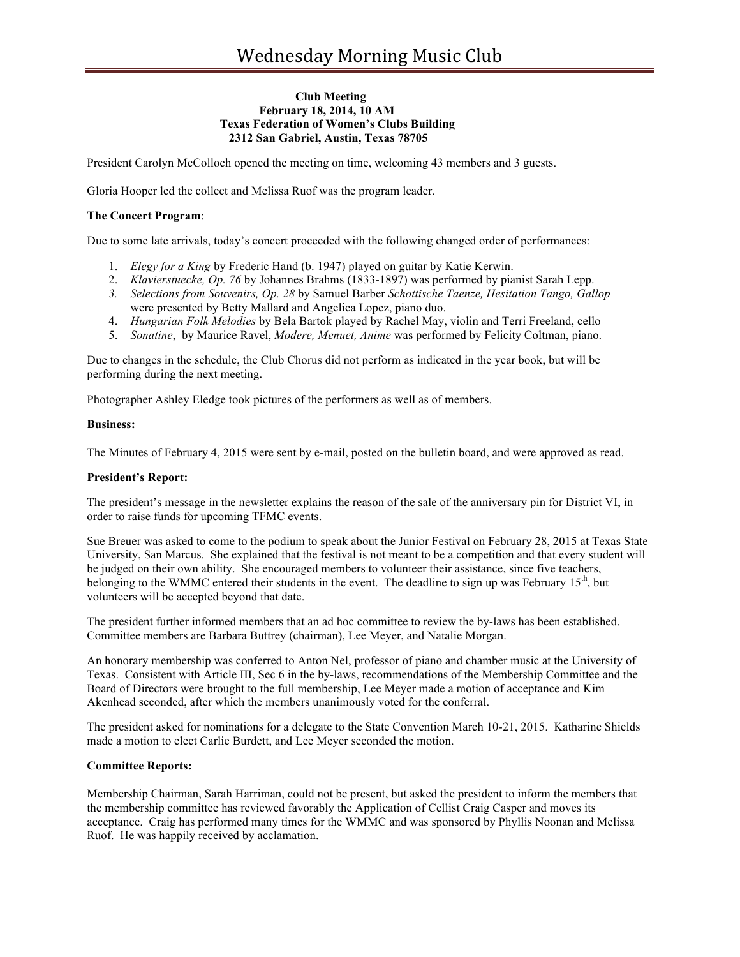## **Club Meeting February 18, 2014, 10 AM Texas Federation of Women's Clubs Building 2312 San Gabriel, Austin, Texas 78705**

President Carolyn McColloch opened the meeting on time, welcoming 43 members and 3 guests.

Gloria Hooper led the collect and Melissa Ruof was the program leader.

# **The Concert Program**:

Due to some late arrivals, today's concert proceeded with the following changed order of performances:

- 1. *Elegy for a King* by Frederic Hand (b. 1947) played on guitar by Katie Kerwin.
- 2. *Klavierstuecke, Op. 76* by Johannes Brahms (1833-1897) was performed by pianist Sarah Lepp.
- *3. Selections from Souvenirs, Op. 28* by Samuel Barber *Schottische Taenze, Hesitation Tango, Gallop* were presented by Betty Mallard and Angelica Lopez, piano duo.
- 4. *Hungarian Folk Melodies* by Bela Bartok played by Rachel May, violin and Terri Freeland, cello
- 5. *Sonatine*, by Maurice Ravel, *Modere, Menuet, Anime* was performed by Felicity Coltman, piano.

Due to changes in the schedule, the Club Chorus did not perform as indicated in the year book, but will be performing during the next meeting.

Photographer Ashley Eledge took pictures of the performers as well as of members.

#### **Business:**

The Minutes of February 4, 2015 were sent by e-mail, posted on the bulletin board, and were approved as read.

#### **President's Report:**

The president's message in the newsletter explains the reason of the sale of the anniversary pin for District VI, in order to raise funds for upcoming TFMC events.

Sue Breuer was asked to come to the podium to speak about the Junior Festival on February 28, 2015 at Texas State University, San Marcus. She explained that the festival is not meant to be a competition and that every student will be judged on their own ability. She encouraged members to volunteer their assistance, since five teachers, belonging to the WMMC entered their students in the event. The deadline to sign up was February  $15<sup>th</sup>$ , but volunteers will be accepted beyond that date.

The president further informed members that an ad hoc committee to review the by-laws has been established. Committee members are Barbara Buttrey (chairman), Lee Meyer, and Natalie Morgan.

An honorary membership was conferred to Anton Nel, professor of piano and chamber music at the University of Texas. Consistent with Article III, Sec 6 in the by-laws, recommendations of the Membership Committee and the Board of Directors were brought to the full membership, Lee Meyer made a motion of acceptance and Kim Akenhead seconded, after which the members unanimously voted for the conferral.

The president asked for nominations for a delegate to the State Convention March 10-21, 2015. Katharine Shields made a motion to elect Carlie Burdett, and Lee Meyer seconded the motion.

#### **Committee Reports:**

Membership Chairman, Sarah Harriman, could not be present, but asked the president to inform the members that the membership committee has reviewed favorably the Application of Cellist Craig Casper and moves its acceptance. Craig has performed many times for the WMMC and was sponsored by Phyllis Noonan and Melissa Ruof. He was happily received by acclamation.